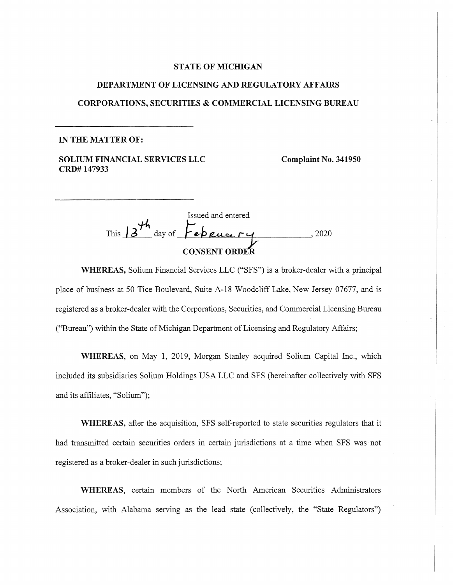## **STATE OF MICHIGAN**

# **DEPARTMENT OF LICENSING AND REGULATORY AFFAIRS CORPORATIONS, SECURITIES & COMMERCIAL LICENSING BUREAU**

#### **IN THE MATTER OF:**

**SOLIUM FINANCIAL SERVICES LLC CRD# 147933** 

**Complaint No. 341950** 

Issued and entered This  $13\frac{th}{s}$  day of **February** 2020 **CONSENT Order**

**WHEREAS,** Solium Financial Services LLC ("SFS") is a broker-dealer with a principal place of business at 50 Tice Boulevard, Suite A-18 Woodcliff Lake, New Jersey 07677, and is registered as a broker-dealer with the Corporations, Securities, and Commercial Licensing Bureau ("Bureau") within the State of Michigan Department of Licensing and Regulatory Affairs;

**WHEREAS,** on May 1, 2019, Morgan Stanley acquired Solium Capital Inc., which included its subsidiaries Solium Holdings USA LLC and SFS (hereinafter collectively with SFS and its affiliates, "Solium");

**WHEREAS,** after the acquisition, SFS self-reported to state securities regulators that it had transmitted certain securities orders in certain jurisdictions at a time when SFS was not registered as a broker-dealer in such jurisdictions;

**WHEREAS,** certain members of the North American Securities Administrators Association, with Alabama serving as the lead state (collectively, the "State Regulators")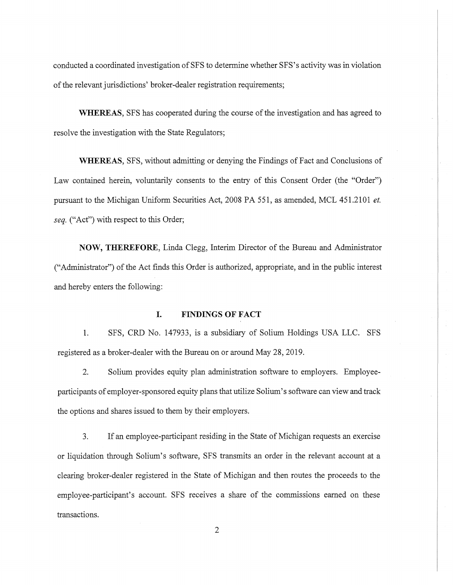conducted a coordinated investigation of SFS to determine whether SFS's activity was in violation of the relevant jurisdictions' broker-dealer registration requirements;

**WHEREAS,** SFS has cooperated during the course of the investigation and has agreed to resolve the investigation with the State Regulators;

**WHEREAS,** SFS, without admitting or denying the Findings of Fact and Conclusions of Law contained herein, voluntarily consents to the entry of this Consent Order (the "Order") pursuant to the Michigan Uniform Securities Act, 2008 PA 551, as amended, MCL 451.2101 *et. seq.* ("Act") with respect to this Order;

**NOW, THEREFORE,** Linda Clegg, Interim Director of the Bureau and Administrator ("Administrator") of the Act finds this Order is authorized, appropriate, and in the public interest and hereby enters the following:

#### **I. FINDINGS OF FACT**

**1.** SFS, CRD No. 147933, is a subsidiary of Solium Holdings USA LLC. SFS registered as a broker-dealer with the Bureau on or around May 28, 2019.

2. Solium provides equity plan administration software to employers. Employeeparticipants of employer-sponsored equity plans that utilize Solium' s software can view and track the options and shares issued to them by their employers.

3. If an employee-participant residing in the State of Michigan requests an exercise or liquidation through Solium's software, SFS transmits an order in the relevant account at a clearing broker-dealer registered in the State of Michigan and then routes the proceeds to the employee-participant's account. SFS receives a share of the commissions earned on these transactions.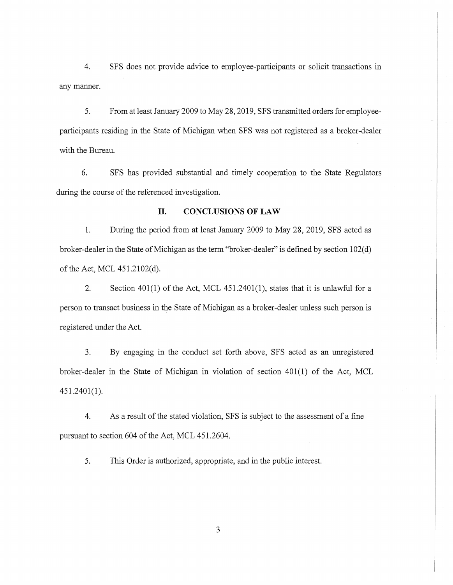4. SFS does not provide advice to employee-participants or solicit transactions in any manner.

5. From at least January 2009 to May 28, 2019, SFS transmitted orders for employeeparticipants residing in the State of Michigan when SFS was not registered as a broker-dealer with the Bureau.

6. SFS has provided substantial and timely cooperation to the State Regulators during the course of the referenced investigation.

#### **II. CONCLUSIONS OF LAW**

1. During the period from at least January 2009 to May 28, 2019, SFS acted as broker-dealer in the State of Michigan as the term "broker-dealer" is defined by section 102( d) of the Act, MCL 451.2102(d).

2. Section 401(1) of the Act, MCL 451.2401(1), states that it is unlawful for a person to transact business in the State of Michigan as a broker-dealer unless such person is registered under the Act.

3. By engaging in the conduct set forth above, SFS acted as an unregistered broker-dealer in the State of Michigan in violation of section 401(1) of the Act, MCL 451.2401(1).

4. As a result of the stated violation, SFS is subject to the assessment of a fine pursuant to section 604 of the Act, MCL 451.2604.

5. This Order is authorized, appropriate, and in the public interest.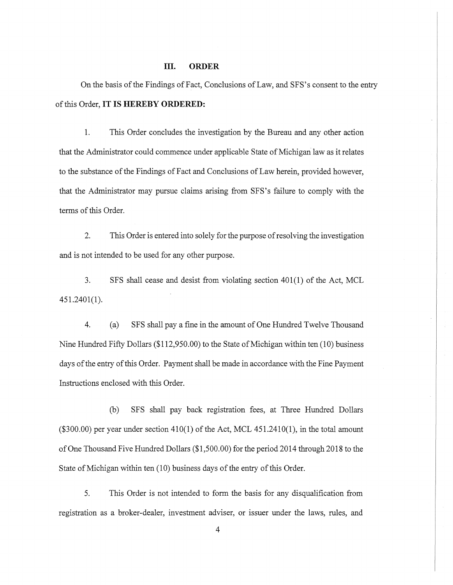#### **III. ORDER**

On the basis of the Findings of Fact, Conclusions of Law, and SFS's consent to the entry of this Order, **IT IS HEREBY ORDERED:** 

1. This Order concludes the investigation by the Bureau and any other action that the Administrator could commence under applicable State of Michigan law as it relates to the substance of the Findings of Fact and Conclusions of Law herein, provided however, that the Administrator may pursue claims arising from SFS's failure to comply with the terms of this Order.

2. This Order is entered into solely for the purpose of resolving the investigation and is not intended to be used for any other purpose.

3. SFS shall cease and desist from violating section 401(1) of the Act, MCL 451.2401(1).

4. ( a) SFS shall pay a fine in the amount of One Hundred Twelve Thousand Nine Hundred Fifty Dollars (\$112,950.00) to the State of Michigan within ten (10) business days of the entry of this Order. Payment shall be made in accordance with the Fine Payment Instructions enclosed with this Order.

(b) SFS shall pay back registration fees, at Three Hundred Dollars  $($ \$300.00) per year under section 410(1) of the Act, MCL 451.2410(1), in the total amount of One Thousand Five Hundred Dollars (\$1,500.00) for the period 2014 through 2018 to the State of Michigan within ten (10) business days of the entry of this Order.

5. This Order is not intended to form the basis for any disqualification from registration as a broker-dealer, investment adviser, or issuer under the laws, rules, and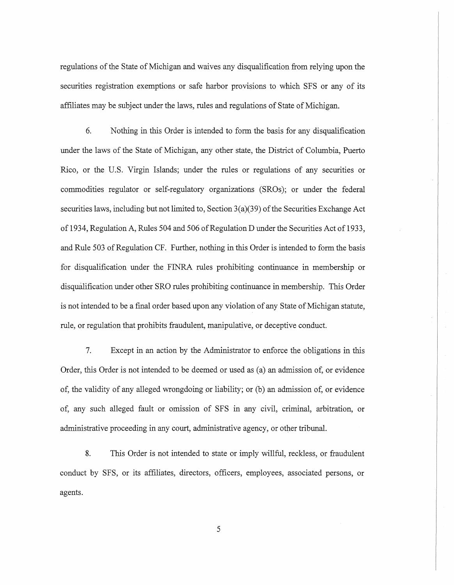regulations of the State of Michigan and waives any disqualification from relying upon the securities registration exemptions or safe harbor provisions to which SFS or any of its affiliates may be subject under the laws, rules and regulations of State of Michigan.

6. Nothing in this Order is intended to form the basis for any disqualification under the laws of the State of Michigan, any other state, the District of Columbia, Puerto Rico, or the U.S. Virgin Islands; under the rules or regulations of any securities or commodities regulator or self-regulatory organizations (SROs); or under the federal securities laws, including but not limited to, Section  $3(a)(39)$  of the Securities Exchange Act of 1934, Regulation A, Rules 504 and 506 of Regulation D under the Securities Act of 1933, and Rule 503 of Regulation CF. Further, nothing in this Order is intended to form the basis for disqualification under the FINRA rules prohibiting continuance in membership or disqualification under other SRO rules prohibiting continuance in membership. This Order is not intended to be a final order based upon any violation of any State of Michigan statute, rule, or regulation that prohibits fraudulent, manipulative, or deceptive conduct.

7. Except in an action by the Administrator to enforce the obligations in this Order, this Order is not intended to be deemed or used as (a) an admission of, or evidence of, the validity of any alleged wrongdoing or liability; or (b) an admission of, or evidence of, any such alleged fault or omission of SFS in any civil, criminal, arbitration, or administrative proceeding in any court, administrative agency, or other tribunal.

8. This Order is not intended to state or imply willful, reckless, or fraudulent conduct by SFS, or its affiliates, directors, officers, employees, associated persons, or agents.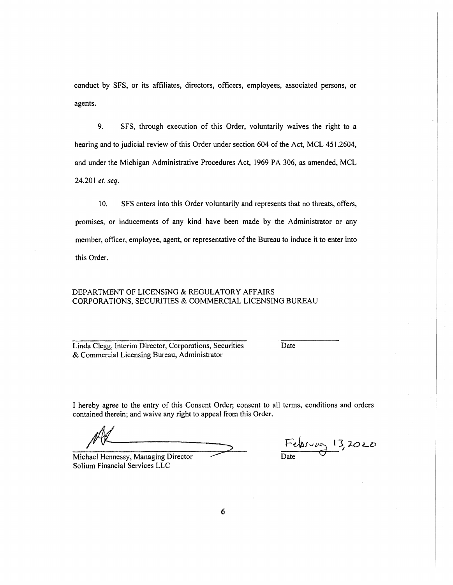conduct by SFS, or its affiliates, directors, officers, employees, associated persons, or agents.

9. SFS, through execution of this Order, voluntarily waives the right to a hearing and to judicial review of this Order under section 604 of the Act, MCL 451.2604, and under the Michigan Administrative Procedures Act, 1969 PA 306, as amended, MCL 24.201 *et. seq.* 

10. SFS enters into this Order voluntarily and represents that no threats, offers, promises, or inducements of any kind have been made by the Administrator or any member, officer, employee, agent, or representative of the Bureau to induce it to enter into this Order.

### DEPARTMENT OF LICENSING & REGULATORY AFFAIRS CORPORATIONS, SECURITIES & COMMERCIAL LICENSING BUREAU

Linda Clegg, Interim Director, Corporations, Securities & Commercial Licensing Bureau, Administrator

Date

I hereby agree to the entry of this Consent Order; consent to all terms, conditions and orders contained therein; and waive any right to appeal from this Order.

Michael Hennessy, Managing Director Sotium Financial Services LLC

February13,*<sup>2020</sup>* Date